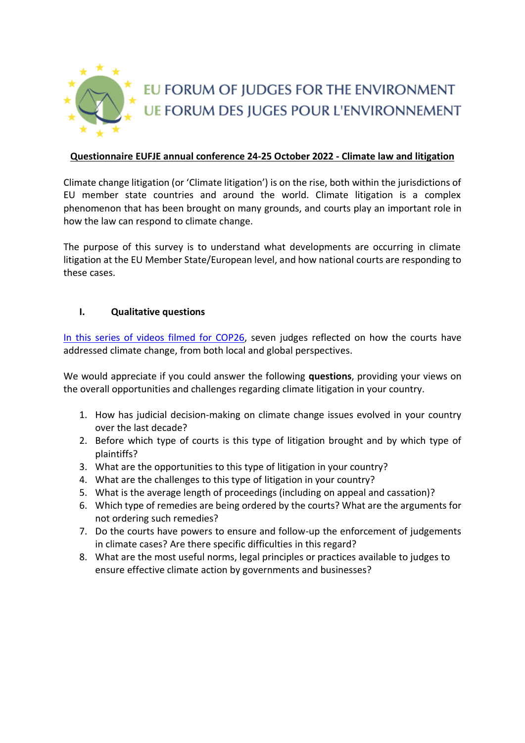

## **Questionnaire EUFJE annual conference 24-25 October 2022 - Climate law and litigation**

Climate change litigation (or 'Climate litigation') is on the rise, both within the jurisdictions of EU member state countries and around the world. Climate litigation is a complex phenomenon that has been brought on many grounds, and courts play an important role in how the law can respond to climate change.

The purpose of this survey is to understand what developments are occurring in climate litigation at the EU Member State/European level, and how national courts are responding to these cases.

## **I. Qualitative questions**

In this [series of videos filmed for COP26,](https://www.lse.ac.uk/granthaminstitute/news/climate-conscious-courts-reflections-on-the-role-of-the-judge-in-addressing-climate-change/) seven judges reflected on how the courts have addressed climate change, from both local and global perspectives.

We would appreciate if you could answer the following **questions**, providing your views on the overall opportunities and challenges regarding climate litigation in your country.

- 1. How has judicial decision-making on climate change issues evolved in your country over the last decade?
- 2. Before which type of courts is this type of litigation brought and by which type of plaintiffs?
- 3. What are the opportunities to this type of litigation in your country?
- 4. What are the challenges to this type of litigation in your country?
- 5. What is the average length of proceedings (including on appeal and cassation)?
- 6. Which type of remedies are being ordered by the courts? What are the arguments for not ordering such remedies?
- 7. Do the courts have powers to ensure and follow-up the enforcement of judgements in climate cases? Are there specific difficulties in this regard?
- 8. What are the most useful norms, legal principles or practices available to judges to ensure effective climate action by governments and businesses?